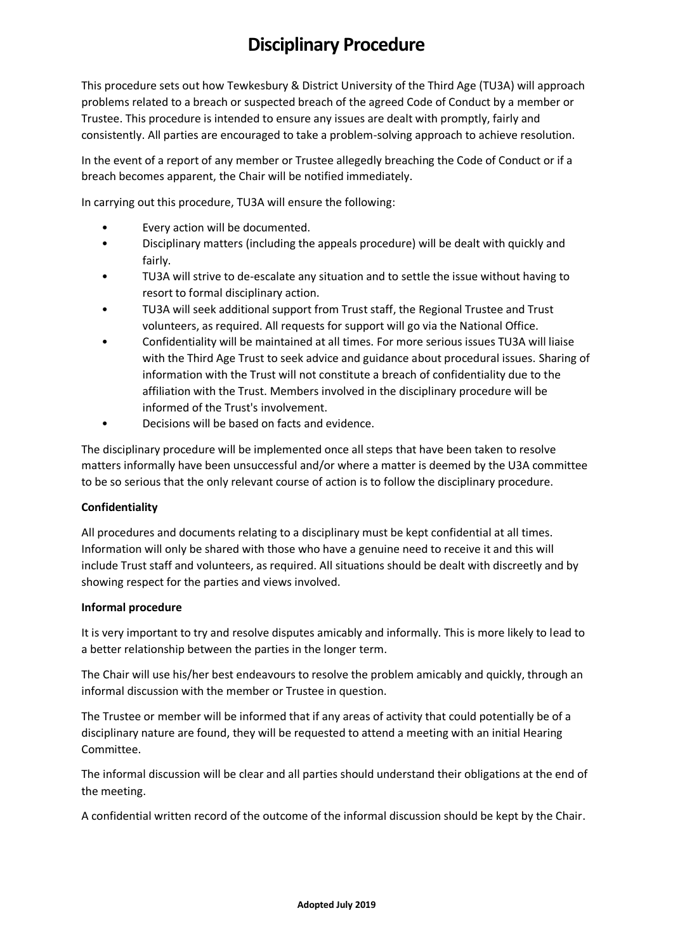# **Disciplinary Procedure**

This procedure sets out how Tewkesbury & District University of the Third Age (TU3A) will approach problems related to a breach or suspected breach of the agreed Code of Conduct by a member or Trustee. This procedure is intended to ensure any issues are dealt with promptly, fairly and consistently. All parties are encouraged to take a problem-solving approach to achieve resolution.

In the event of a report of any member or Trustee allegedly breaching the Code of Conduct or if a breach becomes apparent, the Chair will be notified immediately.

In carrying out this procedure, TU3A will ensure the following:

- Every action will be documented.
- Disciplinary matters (including the appeals procedure) will be dealt with quickly and fairly.
- TU3A will strive to de-escalate any situation and to settle the issue without having to resort to formal disciplinary action.
- TU3A will seek additional support from Trust staff, the Regional Trustee and Trust volunteers, as required. All requests for support will go via the National Office.
- Confidentiality will be maintained at all times. For more serious issues TU3A will liaise with the Third Age Trust to seek advice and guidance about procedural issues. Sharing of information with the Trust will not constitute a breach of confidentiality due to the affiliation with the Trust. Members involved in the disciplinary procedure will be informed of the Trust's involvement.
- Decisions will be based on facts and evidence.

The disciplinary procedure will be implemented once all steps that have been taken to resolve matters informally have been unsuccessful and/or where a matter is deemed by the U3A committee to be so serious that the only relevant course of action is to follow the disciplinary procedure.

### **Confidentiality**

All procedures and documents relating to a disciplinary must be kept confidential at all times. Information will only be shared with those who have a genuine need to receive it and this will include Trust staff and volunteers, as required. All situations should be dealt with discreetly and by showing respect for the parties and views involved.

### **Informal procedure**

It is very important to try and resolve disputes amicably and informally. This is more likely to lead to a better relationship between the parties in the longer term.

The Chair will use his/her best endeavours to resolve the problem amicably and quickly, through an informal discussion with the member or Trustee in question.

The Trustee or member will be informed that if any areas of activity that could potentially be of a disciplinary nature are found, they will be requested to attend a meeting with an initial Hearing Committee.

The informal discussion will be clear and all parties should understand their obligations at the end of the meeting.

A confidential written record of the outcome of the informal discussion should be kept by the Chair.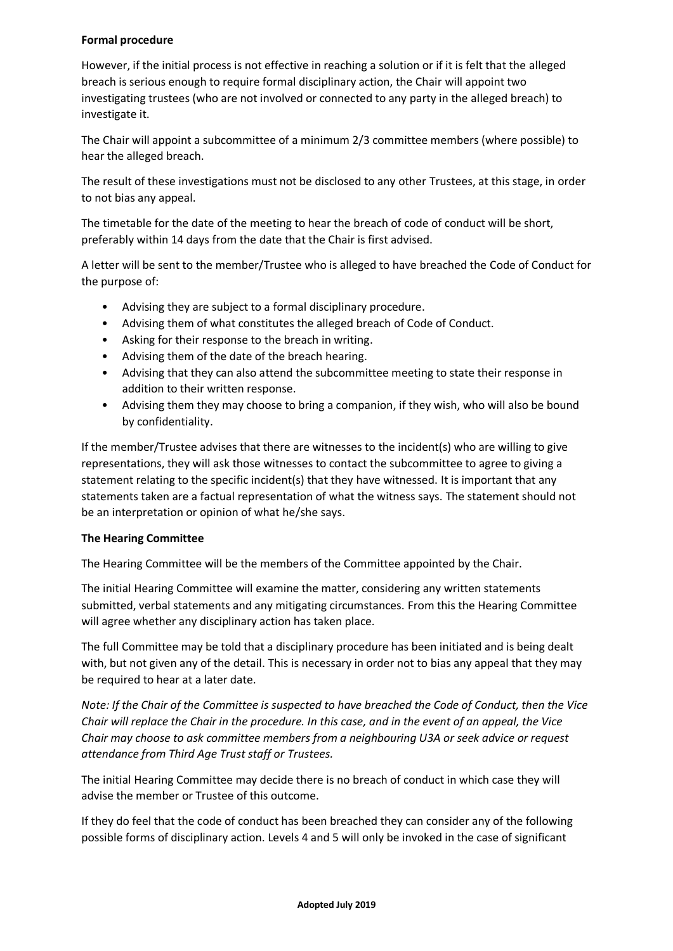# **Formal procedure**

However, if the initial process is not effective in reaching a solution or if it is felt that the alleged breach is serious enough to require formal disciplinary action, the Chair will appoint two investigating trustees (who are not involved or connected to any party in the alleged breach) to investigate it.

The Chair will appoint a subcommittee of a minimum 2/3 committee members (where possible) to hear the alleged breach.

The result of these investigations must not be disclosed to any other Trustees, at this stage, in order to not bias any appeal.

The timetable for the date of the meeting to hear the breach of code of conduct will be short, preferably within 14 days from the date that the Chair is first advised.

A letter will be sent to the member/Trustee who is alleged to have breached the Code of Conduct for the purpose of:

- Advising they are subject to a formal disciplinary procedure.
- Advising them of what constitutes the alleged breach of Code of Conduct.
- Asking for their response to the breach in writing.
- Advising them of the date of the breach hearing.
- Advising that they can also attend the subcommittee meeting to state their response in addition to their written response.
- Advising them they may choose to bring a companion, if they wish, who will also be bound by confidentiality.

If the member/Trustee advises that there are witnesses to the incident(s) who are willing to give representations, they will ask those witnesses to contact the subcommittee to agree to giving a statement relating to the specific incident(s) that they have witnessed. It is important that any statements taken are a factual representation of what the witness says. The statement should not be an interpretation or opinion of what he/she says.

# **The Hearing Committee**

The Hearing Committee will be the members of the Committee appointed by the Chair.

The initial Hearing Committee will examine the matter, considering any written statements submitted, verbal statements and any mitigating circumstances. From this the Hearing Committee will agree whether any disciplinary action has taken place.

The full Committee may be told that a disciplinary procedure has been initiated and is being dealt with, but not given any of the detail. This is necessary in order not to bias any appeal that they may be required to hear at a later date.

*Note: If the Chair of the Committee is suspected to have breached the Code of Conduct, then the Vice Chair will replace the Chair in the procedure. In this case, and in the event of an appeal, the Vice Chair may choose to ask committee members from a neighbouring U3A or seek advice or request attendance from Third Age Trust staff or Trustees.* 

The initial Hearing Committee may decide there is no breach of conduct in which case they will advise the member or Trustee of this outcome.

If they do feel that the code of conduct has been breached they can consider any of the following possible forms of disciplinary action. Levels 4 and 5 will only be invoked in the case of significant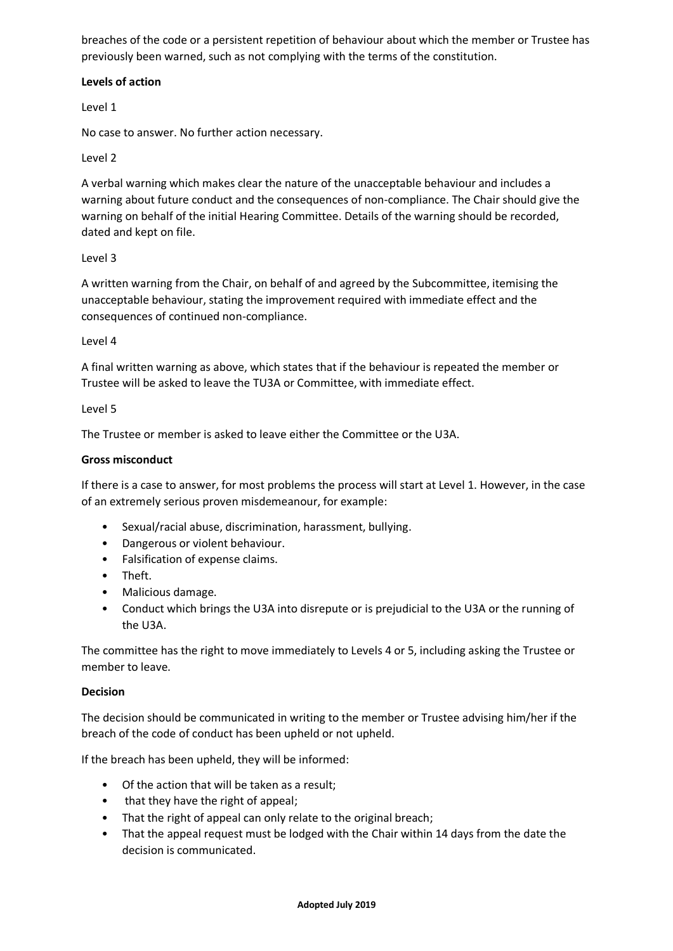breaches of the code or a persistent repetition of behaviour about which the member or Trustee has previously been warned, such as not complying with the terms of the constitution.

## **Levels of action**

Level 1

No case to answer. No further action necessary.

## Level 2

A verbal warning which makes clear the nature of the unacceptable behaviour and includes a warning about future conduct and the consequences of non-compliance. The Chair should give the warning on behalf of the initial Hearing Committee. Details of the warning should be recorded, dated and kept on file.

## Level 3

A written warning from the Chair, on behalf of and agreed by the Subcommittee, itemising the unacceptable behaviour, stating the improvement required with immediate effect and the consequences of continued non-compliance.

### Level 4

A final written warning as above, which states that if the behaviour is repeated the member or Trustee will be asked to leave the TU3A or Committee, with immediate effect.

### Level 5

The Trustee or member is asked to leave either the Committee or the U3A.

## **Gross misconduct**

If there is a case to answer, for most problems the process will start at Level 1. However, in the case of an extremely serious proven misdemeanour, for example:

- Sexual/racial abuse, discrimination, harassment, bullying.
- Dangerous or violent behaviour.
- Falsification of expense claims.
- Theft.
- Malicious damage.
- Conduct which brings the U3A into disrepute or is prejudicial to the U3A or the running of the U3A.

The committee has the right to move immediately to Levels 4 or 5, including asking the Trustee or member to leave.

### **Decision**

The decision should be communicated in writing to the member or Trustee advising him/her if the breach of the code of conduct has been upheld or not upheld.

If the breach has been upheld, they will be informed:

- Of the action that will be taken as a result;
- that they have the right of appeal;
- That the right of appeal can only relate to the original breach;
- That the appeal request must be lodged with the Chair within 14 days from the date the decision is communicated.